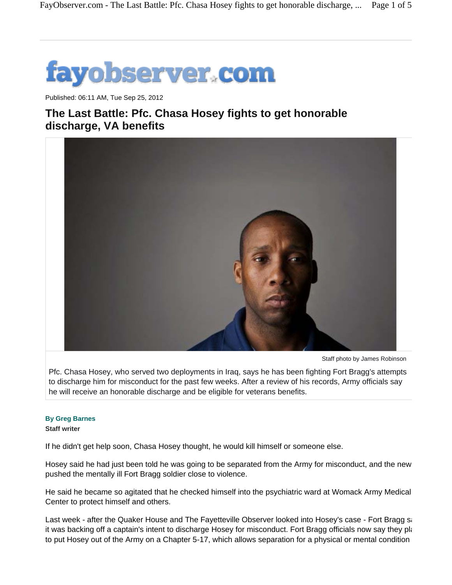

Published: 06:11 AM, Tue Sep 25, 2012

## **The Last Battle: Pfc. Chasa Hosey fights to get honorable discharge, VA benefits**



Staff photo by James Robinson

Pfc. Chasa Hosey, who served two deployments in Iraq, says he has been fighting Fort Bragg's attempts to discharge him for misconduct for the past few weeks. After a review of his records, Army officials say he will receive an honorable discharge and be eligible for veterans benefits.

## **By Greg Barnes**

## **Staff writer**

If he didn't get help soon, Chasa Hosey thought, he would kill himself or someone else.

Hosey said he had just been told he was going to be separated from the Army for misconduct, and the new pushed the mentally ill Fort Bragg soldier close to violence.

He said he became so agitated that he checked himself into the psychiatric ward at Womack Army Medical Center to protect himself and others.

Last week - after the Quaker House and The Fayetteville Observer looked into Hosey's case - Fort Bragg sa it was backing off a captain's intent to discharge Hosey for misconduct. Fort Bragg officials now say they pla to put Hosey out of the Army on a Chapter 5-17, which allows separation for a physical or mental condition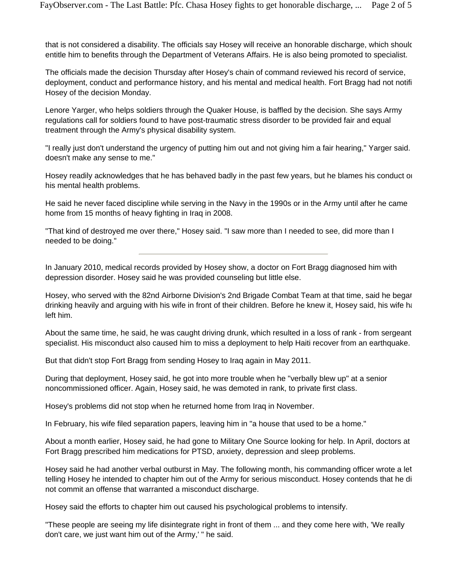that is not considered a disability. The officials say Hosey will receive an honorable discharge, which should entitle him to benefits through the Department of Veterans Affairs. He is also being promoted to specialist.

The officials made the decision Thursday after Hosey's chain of command reviewed his record of service, deployment, conduct and performance history, and his mental and medical health. Fort Bragg had not notifi Hosey of the decision Monday.

Lenore Yarger, who helps soldiers through the Quaker House, is baffled by the decision. She says Army regulations call for soldiers found to have post-traumatic stress disorder to be provided fair and equal treatment through the Army's physical disability system.

"I really just don't understand the urgency of putting him out and not giving him a fair hearing," Yarger said. doesn't make any sense to me."

Hosey readily acknowledges that he has behaved badly in the past few years, but he blames his conduct on his mental health problems.

He said he never faced discipline while serving in the Navy in the 1990s or in the Army until after he came home from 15 months of heavy fighting in Iraq in 2008.

"That kind of destroyed me over there," Hosey said. "I saw more than I needed to see, did more than I needed to be doing."

In January 2010, medical records provided by Hosey show, a doctor on Fort Bragg diagnosed him with depression disorder. Hosey said he was provided counseling but little else.

Hosey, who served with the 82nd Airborne Division's 2nd Brigade Combat Team at that time, said he began drinking heavily and arguing with his wife in front of their children. Before he knew it, Hosey said, his wife ha left him.

About the same time, he said, he was caught driving drunk, which resulted in a loss of rank - from sergeant specialist. His misconduct also caused him to miss a deployment to help Haiti recover from an earthquake.

But that didn't stop Fort Bragg from sending Hosey to Iraq again in May 2011.

During that deployment, Hosey said, he got into more trouble when he "verbally blew up" at a senior noncommissioned officer. Again, Hosey said, he was demoted in rank, to private first class.

Hosey's problems did not stop when he returned home from Iraq in November.

In February, his wife filed separation papers, leaving him in "a house that used to be a home."

About a month earlier, Hosey said, he had gone to Military One Source looking for help. In April, doctors at Fort Bragg prescribed him medications for PTSD, anxiety, depression and sleep problems.

Hosey said he had another verbal outburst in May. The following month, his commanding officer wrote a let telling Hosey he intended to chapter him out of the Army for serious misconduct. Hosey contends that he di not commit an offense that warranted a misconduct discharge.

Hosey said the efforts to chapter him out caused his psychological problems to intensify.

"These people are seeing my life disintegrate right in front of them ... and they come here with, 'We really don't care, we just want him out of the Army,' " he said.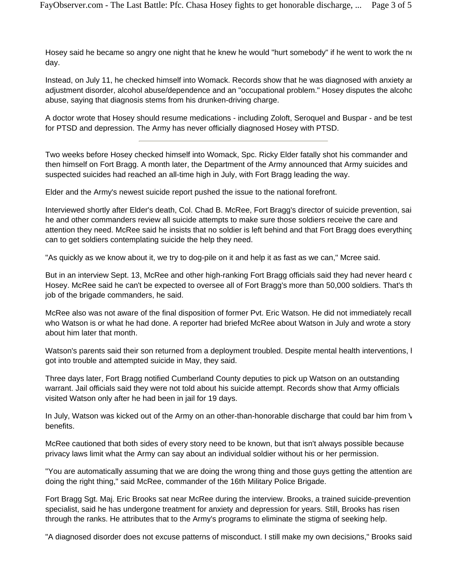Hosey said he became so angry one night that he knew he would "hurt somebody" if he went to work the ne day.

Instead, on July 11, he checked himself into Womack. Records show that he was diagnosed with anxiety an adjustment disorder, alcohol abuse/dependence and an "occupational problem." Hosey disputes the alcoho abuse, saying that diagnosis stems from his drunken-driving charge.

A doctor wrote that Hosey should resume medications - including Zoloft, Seroquel and Buspar - and be test for PTSD and depression. The Army has never officially diagnosed Hosey with PTSD.

Two weeks before Hosey checked himself into Womack, Spc. Ricky Elder fatally shot his commander and then himself on Fort Bragg. A month later, the Department of the Army announced that Army suicides and suspected suicides had reached an all-time high in July, with Fort Bragg leading the way.

Elder and the Army's newest suicide report pushed the issue to the national forefront.

Interviewed shortly after Elder's death, Col. Chad B. McRee, Fort Bragg's director of suicide prevention, said he and other commanders review all suicide attempts to make sure those soldiers receive the care and attention they need. McRee said he insists that no soldier is left behind and that Fort Bragg does everything can to get soldiers contemplating suicide the help they need.

"As quickly as we know about it, we try to dog-pile on it and help it as fast as we can," Mcree said.

But in an interview Sept. 13, McRee and other high-ranking Fort Bragg officials said they had never heard c Hosey. McRee said he can't be expected to oversee all of Fort Bragg's more than 50,000 soldiers. That's th job of the brigade commanders, he said.

McRee also was not aware of the final disposition of former Pvt. Eric Watson. He did not immediately recall who Watson is or what he had done. A reporter had briefed McRee about Watson in July and wrote a story about him later that month.

Watson's parents said their son returned from a deployment troubled. Despite mental health interventions, h got into trouble and attempted suicide in May, they said.

Three days later, Fort Bragg notified Cumberland County deputies to pick up Watson on an outstanding warrant. Jail officials said they were not told about his suicide attempt. Records show that Army officials visited Watson only after he had been in jail for 19 days.

In July, Watson was kicked out of the Army on an other-than-honorable discharge that could bar him from  $\sqrt{ }$ benefits.

McRee cautioned that both sides of every story need to be known, but that isn't always possible because privacy laws limit what the Army can say about an individual soldier without his or her permission.

"You are automatically assuming that we are doing the wrong thing and those guys getting the attention are doing the right thing," said McRee, commander of the 16th Military Police Brigade.

Fort Bragg Sgt. Maj. Eric Brooks sat near McRee during the interview. Brooks, a trained suicide-prevention specialist, said he has undergone treatment for anxiety and depression for years. Still, Brooks has risen through the ranks. He attributes that to the Army's programs to eliminate the stigma of seeking help.

"A diagnosed disorder does not excuse patterns of misconduct. I still make my own decisions," Brooks said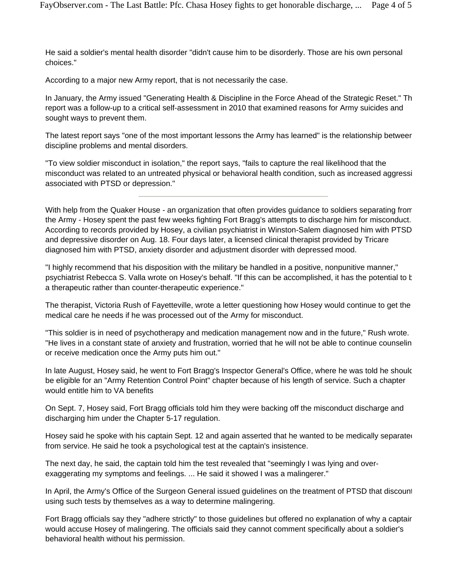He said a soldier's mental health disorder "didn't cause him to be disorderly. Those are his own personal choices."

According to a major new Army report, that is not necessarily the case.

In January, the Army issued "Generating Health & Discipline in the Force Ahead of the Strategic Reset." Th report was a follow-up to a critical self-assessment in 2010 that examined reasons for Army suicides and sought ways to prevent them.

The latest report says "one of the most important lessons the Army has learned" is the relationship between discipline problems and mental disorders.

"To view soldier misconduct in isolation," the report says, "fails to capture the real likelihood that the misconduct was related to an untreated physical or behavioral health condition, such as increased aggressi associated with PTSD or depression."

With help from the Quaker House - an organization that often provides guidance to soldiers separating from the Army - Hosey spent the past few weeks fighting Fort Bragg's attempts to discharge him for misconduct. According to records provided by Hosey, a civilian psychiatrist in Winston-Salem diagnosed him with PTSD and depressive disorder on Aug. 18. Four days later, a licensed clinical therapist provided by Tricare diagnosed him with PTSD, anxiety disorder and adjustment disorder with depressed mood.

"I highly recommend that his disposition with the military be handled in a positive, nonpunitive manner," psychiatrist Rebecca S. Valla wrote on Hosey's behalf. "If this can be accomplished, it has the potential to b a therapeutic rather than counter-therapeutic experience."

The therapist, Victoria Rush of Fayetteville, wrote a letter questioning how Hosey would continue to get the medical care he needs if he was processed out of the Army for misconduct.

"This soldier is in need of psychotherapy and medication management now and in the future," Rush wrote. "He lives in a constant state of anxiety and frustration, worried that he will not be able to continue counselin or receive medication once the Army puts him out."

In late August, Hosey said, he went to Fort Bragg's Inspector General's Office, where he was told he should be eligible for an "Army Retention Control Point" chapter because of his length of service. Such a chapter would entitle him to VA benefits

On Sept. 7, Hosey said, Fort Bragg officials told him they were backing off the misconduct discharge and discharging him under the Chapter 5-17 regulation.

Hosey said he spoke with his captain Sept. 12 and again asserted that he wanted to be medically separated from service. He said he took a psychological test at the captain's insistence.

The next day, he said, the captain told him the test revealed that "seemingly I was lying and overexaggerating my symptoms and feelings. ... He said it showed I was a malingerer."

In April, the Army's Office of the Surgeon General issued guidelines on the treatment of PTSD that discount using such tests by themselves as a way to determine malingering.

Fort Bragg officials say they "adhere strictly" to those guidelines but offered no explanation of why a captain would accuse Hosey of malingering. The officials said they cannot comment specifically about a soldier's behavioral health without his permission.